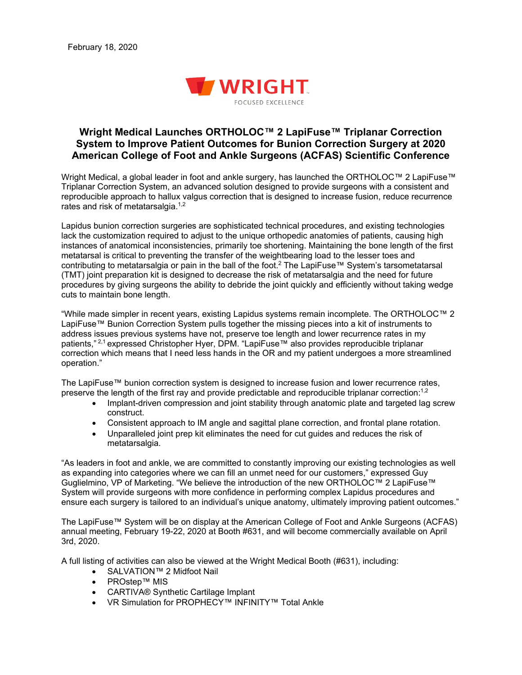

## **Wright Medical Launches ORTHOLOC™ 2 LapiFuse™ Triplanar Correction System to Improve Patient Outcomes for Bunion Correction Surgery at 2020 American College of Foot and Ankle Surgeons (ACFAS) Scientific Conference**

Wright Medical, a global leader in foot and ankle surgery, has launched the ORTHOLOC™ 2 LapiFuse™ Triplanar Correction System, an advanced solution designed to provide surgeons with a consistent and reproducible approach to hallux valgus correction that is designed to increase fusion, reduce recurrence rates and risk of metatarsalgia.<sup>1,2</sup>

Lapidus bunion correction surgeries are sophisticated technical procedures, and existing technologies lack the customization required to adjust to the unique orthopedic anatomies of patients, causing high instances of anatomical inconsistencies, primarily toe shortening. Maintaining the bone length of the first metatarsal is critical to preventing the transfer of the weightbearing load to the lesser toes and contributing to metatarsalgia or pain in the ball of the foot.2 The LapiFuse™ System's tarsometatarsal (TMT) joint preparation kit is designed to decrease the risk of metatarsalgia and the need for future procedures by giving surgeons the ability to debride the joint quickly and efficiently without taking wedge cuts to maintain bone length.

"While made simpler in recent years, existing Lapidus systems remain incomplete. The ORTHOLOC™ 2 LapiFuse™ Bunion Correction System pulls together the missing pieces into a kit of instruments to address issues previous systems have not, preserve toe length and lower recurrence rates in my patients," 2,1 expressed Christopher Hyer, DPM. "LapiFuse™ also provides reproducible triplanar correction which means that I need less hands in the OR and my patient undergoes a more streamlined operation."

The LapiFuse™ bunion correction system is designed to increase fusion and lower recurrence rates, preserve the length of the first ray and provide predictable and reproducible triplanar correction: $^{1,2}$ 

- Implant-driven compression and joint stability through anatomic plate and targeted lag screw construct.
- Consistent approach to IM angle and sagittal plane correction, and frontal plane rotation.
- Unparalleled joint prep kit eliminates the need for cut guides and reduces the risk of metatarsalgia.

"As leaders in foot and ankle, we are committed to constantly improving our existing technologies as well as expanding into categories where we can fill an unmet need for our customers," expressed Guy Guglielmino, VP of Marketing. "We believe the introduction of the new ORTHOLOC™ 2 LapiFuse™ System will provide surgeons with more confidence in performing complex Lapidus procedures and ensure each surgery is tailored to an individual's unique anatomy, ultimately improving patient outcomes."

The LapiFuse™ System will be on display at the American College of Foot and Ankle Surgeons (ACFAS) annual meeting, February 19-22, 2020 at Booth #631, and will become commercially available on April 3rd, 2020.

A full listing of activities can also be viewed at the Wright Medical Booth (#631), including:

- SALVATION™ 2 Midfoot Nail
- PROstep™ MIS
- CARTIVA® Synthetic Cartilage Implant
- VR Simulation for PROPHECY™ INFINITY™ Total Ankle